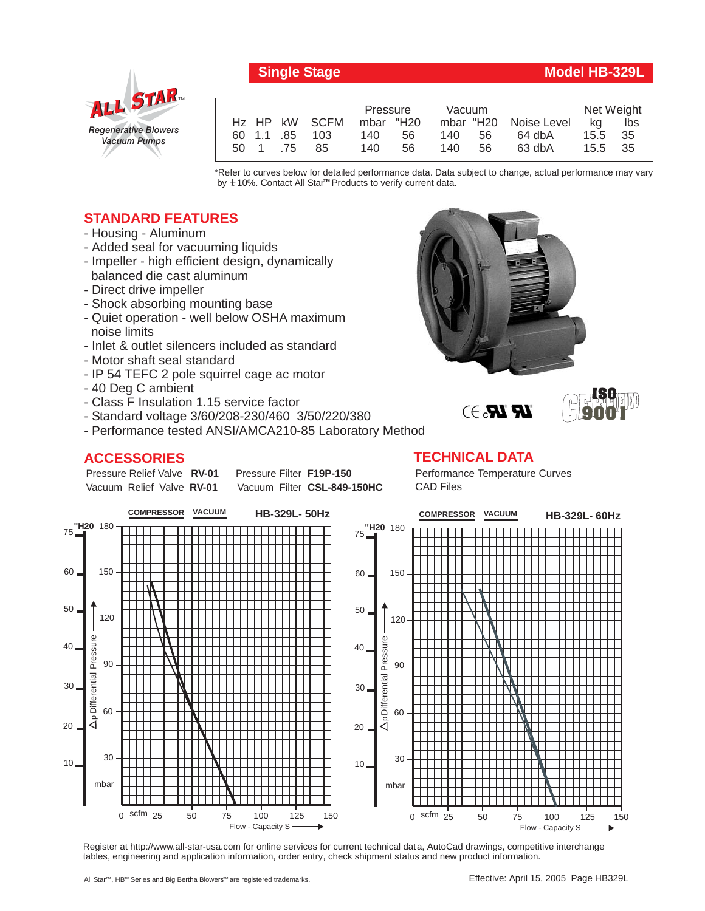

## **Single Stage Model HB-329L**

|      |     |               | Pressure  |    | Vacuum |     |                       | Net Weight |      |
|------|-----|---------------|-----------|----|--------|-----|-----------------------|------------|------|
|      |     | Hz HP kW SCFM | mbar "H20 |    |        |     | mbar "H20 Noise Level | ka         | lbs  |
|      |     | 60 1.1 85 103 | 140       | 56 | 140    | 56. | 64 dbA                | 15.5       | - 35 |
| 50 1 | .75 | 85            | 140       | 56 | 140.   | 56. | 63 dbA                | 15.5       | - 35 |

\*Refer to curves below for detailed performance data. Data subject to change, actual performance may vary by **+** 10%. Contact All Star™ Products to verify current data.

## **STANDARD FEATURES**

- Housing Aluminum
- Added seal for vacuuming liquids
- Impeller high efficient design, dynamically balanced die cast aluminum
- Direct drive impeller
- Shock absorbing mounting base
- Quiet operation well below OSHA maximum noise limits
- Inlet & outlet silencers included as standard
- Motor shaft seal standard
- IP 54 TEFC 2 pole squirrel cage ac motor
- 40 Deg C ambient
- Class F Insulation 1.15 service factor
- Standard voltage 3/60/208-230/460 3/50/220/380
- Performance tested ANSI/AMCA210-85 Laboratory Method

## **ACCESSORIES**

Pressure Relief Valve RV-01 Vacuum Relief Valve RV-01

**Pressure Filter F19P-150** Vacuum Filter CSL-849-150HC  $\mathbb{R}$   $\mathbb{R}$ . $\ni$ 



## **TECHNICAL DATA**

Performance Temperature Curves CAD Files



Register at http://www.all-star-usa.com for online services for current technical data, AutoCad drawings, competitive interchange tables, engineering and application information, order entry, check shipment status and new product information.